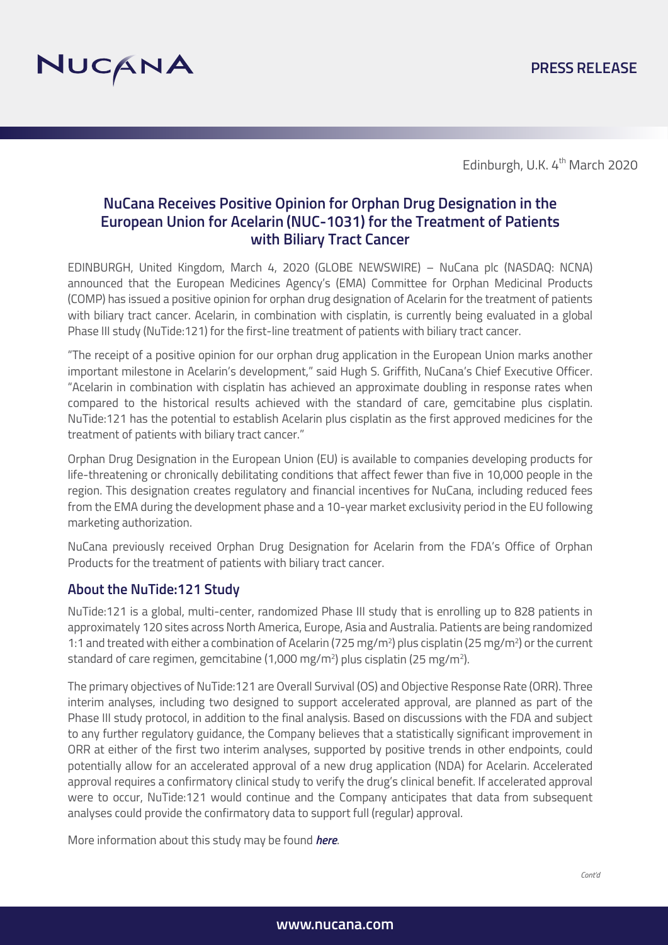

Edinburgh, U.K. 4<sup>th</sup> March 2020

# **NuCana Receives Positive Opinion for Orphan Drug Designation in the European Union for Acelarin (NUC-1031) for the Treatment of Patients with Biliary Tract Cancer**

EDINBURGH, United Kingdom, March 4, 2020 (GLOBE NEWSWIRE) – NuCana plc (NASDAQ: NCNA) announced that the European Medicines Agency's (EMA) Committee for Orphan Medicinal Products (COMP) has issued a positive opinion for orphan drug designation of Acelarin for the treatment of patients with biliary tract cancer. Acelarin, in combination with cisplatin, is currently being evaluated in a global Phase III study (NuTide:121) for the first-line treatment of patients with biliary tract cancer.

"The receipt of a positive opinion for our orphan drug application in the European Union marks another important milestone in Acelarin's development," said Hugh S. Griffith, NuCana's Chief Executive Officer. "Acelarin in combination with cisplatin has achieved an approximate doubling in response rates when compared to the historical results achieved with the standard of care, gemcitabine plus cisplatin. NuTide:121 has the potential to establish Acelarin plus cisplatin as the first approved medicines for the treatment of patients with biliary tract cancer."

Orphan Drug Designation in the European Union (EU) is available to companies developing products for life-threatening or chronically debilitating conditions that affect fewer than five in 10,000 people in the region. This designation creates regulatory and financial incentives for NuCana, including reduced fees from the EMA during the development phase and a 10-year market exclusivity period in the EU following marketing authorization.

NuCana previously received Orphan Drug Designation for Acelarin from the FDA's Office of Orphan Products for the treatment of patients with biliary tract cancer.

#### **About the NuTide:121 Study**

NuTide:121 is a global, multi-center, randomized Phase III study that is enrolling up to 828 patients in approximately 120 sites across North America, Europe, Asia and Australia. Patients are being randomized 1:1 and treated with either a combination of Acelarin (725 mg/m<sup>2</sup>) plus cisplatin (25 mg/m<sup>2</sup>) or the current standard of care regimen, gemcitabine (1,000 mg/m²) plus cisplatin (25 mg/m²).

The primary objectives of NuTide:121 are Overall Survival (OS) and Objective Response Rate (ORR). Three interim analyses, including two designed to support accelerated approval, are planned as part of the Phase III study protocol, in addition to the final analysis. Based on discussions with the FDA and subject to any further regulatory guidance, the Company believes that a statistically significant improvement in ORR at either of the first two interim analyses, supported by positive trends in other endpoints, could potentially allow for an accelerated approval of a new drug application (NDA) for Acelarin. Accelerated approval requires a confirmatory clinical study to verify the drug's clinical benefit. If accelerated approval were to occur, NuTide:121 would continue and the Company anticipates that data from subsequent analyses could provide the confirmatory data to support full (regular) approval.

More information about this study may b[e found](https://clinicaltrials.gov/ct2/show/NCT04163900?term=nutide%3A121&draw=2&rank=1) *here*.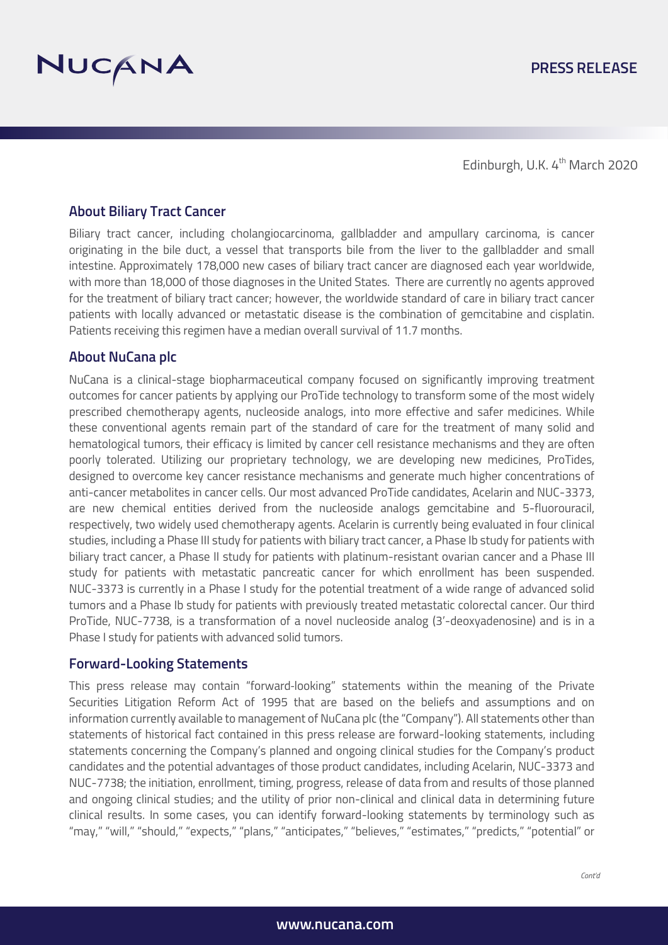



Edinburgh, U.K. 4<sup>th</sup> March 2020

### **About Biliary Tract Cancer**

Biliary tract cancer, including cholangiocarcinoma, gallbladder and ampullary carcinoma, is cancer originating in the bile duct, a vessel that transports bile from the liver to the gallbladder and small intestine. Approximately 178,000 new cases of biliary tract cancer are diagnosed each year worldwide, with more than 18,000 of those diagnoses in the United States. There are currently no agents approved for the treatment of biliary tract cancer; however, the worldwide standard of care in biliary tract cancer patients with locally advanced or metastatic disease is the combination of gemcitabine and cisplatin. Patients receiving this regimen have a median overall survival of 11.7 months.

## **About NuCana plc**

NuCana is a clinical-stage biopharmaceutical company focused on significantly improving treatment outcomes for cancer patients by applying our ProTide technology to transform some of the most widely prescribed chemotherapy agents, nucleoside analogs, into more effective and safer medicines. While these conventional agents remain part of the standard of care for the treatment of many solid and hematological tumors, their efficacy is limited by cancer cell resistance mechanisms and they are often poorly tolerated. Utilizing our proprietary technology, we are developing new medicines, ProTides, designed to overcome key cancer resistance mechanisms and generate much higher concentrations of anti-cancer metabolites in cancer cells. Our most advanced ProTide candidates, Acelarin and NUC-3373, are new chemical entities derived from the nucleoside analogs gemcitabine and 5-fluorouracil, respectively, two widely used chemotherapy agents. Acelarin is currently being evaluated in four clinical studies, including a Phase III study for patients with biliary tract cancer, a Phase Ib study for patients with biliary tract cancer, a Phase II study for patients with platinum-resistant ovarian cancer and a Phase III study for patients with metastatic pancreatic cancer for which enrollment has been suspended. NUC-3373 is currently in a Phase I study for the potential treatment of a wide range of advanced solid tumors and a Phase Ib study for patients with previously treated metastatic colorectal cancer. Our third ProTide, NUC-7738, is a transformation of a novel nucleoside analog (3'-deoxyadenosine) and is in a Phase I study for patients with advanced solid tumors.

#### **Forward-Looking Statements**

This press release may contain "forward‐looking" statements within the meaning of the Private Securities Litigation Reform Act of 1995 that are based on the beliefs and assumptions and on information currently available to management of NuCana plc (the "Company"). All statements other than statements of historical fact contained in this press release are forward-looking statements, including statements concerning the Company's planned and ongoing clinical studies for the Company's product candidates and the potential advantages of those product candidates, including Acelarin, NUC-3373 and NUC-7738; the initiation, enrollment, timing, progress, release of data from and results of those planned and ongoing clinical studies; and the utility of prior non-clinical and clinical data in determining future clinical results. In some cases, you can identify forward-looking statements by terminology such as "may," "will," "should," "expects," "plans," "anticipates," "believes," "estimates," "predicts," "potential" or